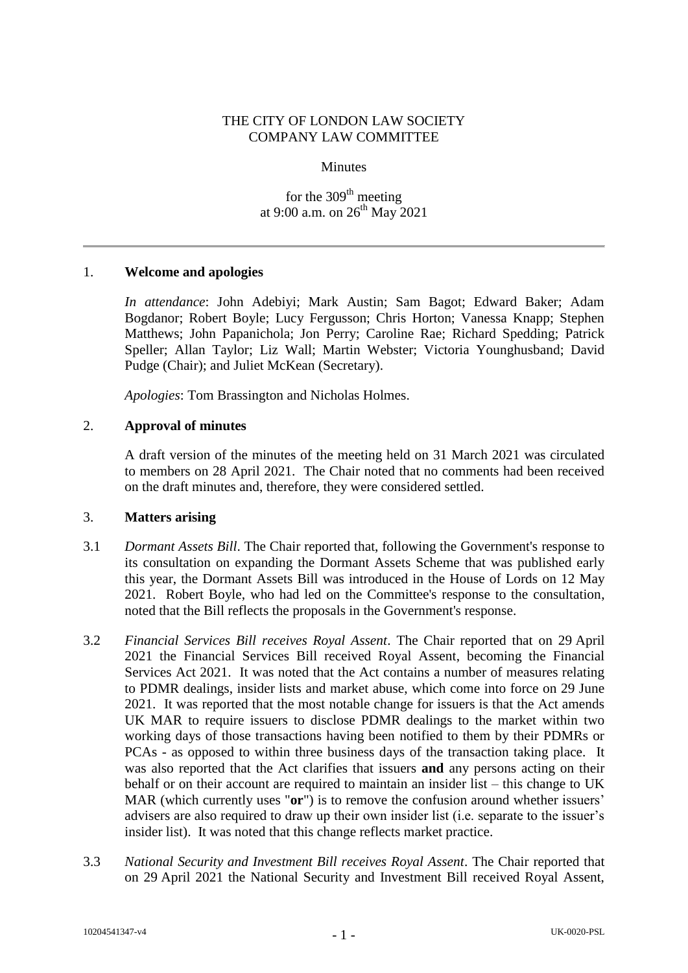### THE CITY OF LONDON LAW SOCIETY COMPANY LAW COMMITTEE

#### Minutes

for the 309<sup>th</sup> meeting at 9:00 a.m. on  $26^{th}$  May 2021

#### 1. **Welcome and apologies**

*In attendance*: John Adebiyi; Mark Austin; Sam Bagot; Edward Baker; Adam Bogdanor; Robert Boyle; Lucy Fergusson; Chris Horton; Vanessa Knapp; Stephen Matthews; John Papanichola; Jon Perry; Caroline Rae; Richard Spedding; Patrick Speller; Allan Taylor; Liz Wall; Martin Webster; Victoria Younghusband; David Pudge (Chair); and Juliet McKean (Secretary).

*Apologies*: Tom Brassington and Nicholas Holmes.

## 2. **Approval of minutes**

A draft version of the minutes of the meeting held on 31 March 2021 was circulated to members on 28 April 2021. The Chair noted that no comments had been received on the draft minutes and, therefore, they were considered settled.

#### 3. **Matters arising**

- 3.1 *Dormant Assets Bill*. The Chair reported that, following the Government's response to its consultation on expanding the Dormant Assets Scheme that was published early this year, the Dormant Assets Bill was introduced in the House of Lords on 12 May 2021. Robert Boyle, who had led on the Committee's response to the consultation, noted that the Bill reflects the proposals in the Government's response.
- 3.2 *Financial Services Bill receives Royal Assent*. The Chair reported that on 29 April 2021 the Financial Services Bill received Royal Assent, becoming the Financial Services Act 2021. It was noted that the Act contains a number of measures relating to PDMR dealings, insider lists and market abuse, which come into force on 29 June 2021. It was reported that the most notable change for issuers is that the Act amends UK MAR to require issuers to disclose PDMR dealings to the market within two working days of those transactions having been notified to them by their PDMRs or PCAs - as opposed to within three business days of the transaction taking place. It was also reported that the Act clarifies that issuers **and** any persons acting on their behalf or on their account are required to maintain an insider list – this change to UK MAR (which currently uses "**or**") is to remove the confusion around whether issuers' advisers are also required to draw up their own insider list (i.e. separate to the issuer's insider list). It was noted that this change reflects market practice.
- 3.3 *National Security and Investment Bill receives Royal Assent*. The Chair reported that on 29 April 2021 the National Security and Investment Bill received Royal Assent,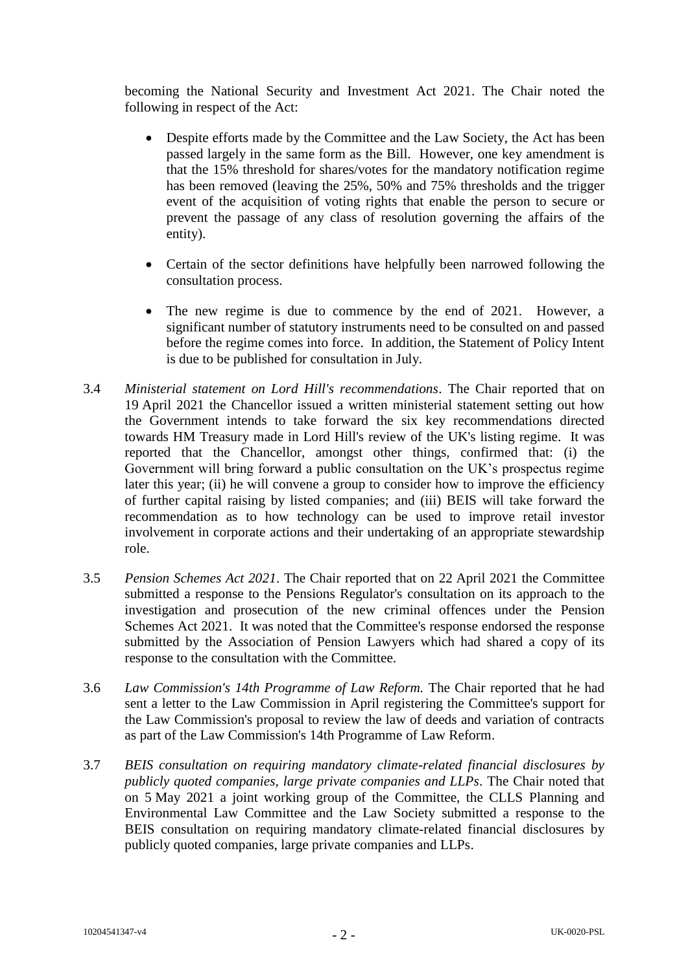becoming the National Security and Investment Act 2021. The Chair noted the following in respect of the Act:

- Despite efforts made by the Committee and the Law Society, the Act has been passed largely in the same form as the Bill. However, one key amendment is that the 15% threshold for shares/votes for the mandatory notification regime has been removed (leaving the 25%, 50% and 75% thresholds and the trigger event of the acquisition of voting rights that enable the person to secure or prevent the passage of any class of resolution governing the affairs of the entity).
- Certain of the sector definitions have helpfully been narrowed following the consultation process.
- The new regime is due to commence by the end of 2021. However, a significant number of statutory instruments need to be consulted on and passed before the regime comes into force. In addition, the Statement of Policy Intent is due to be published for consultation in July.
- 3.4 *Ministerial statement on Lord Hill's recommendations*. The Chair reported that on 19 April 2021 the Chancellor issued a written ministerial statement setting out how the Government intends to take forward the six key recommendations directed towards HM Treasury made in Lord Hill's review of the UK's listing regime. It was reported that the Chancellor, amongst other things, confirmed that: (i) the Government will bring forward a public consultation on the UK's prospectus regime later this year; (ii) he will convene a group to consider how to improve the efficiency of further capital raising by listed companies; and (iii) BEIS will take forward the recommendation as to how technology can be used to improve retail investor involvement in corporate actions and their undertaking of an appropriate stewardship role.
- 3.5 *Pension Schemes Act 2021*. The Chair reported that on 22 April 2021 the Committee submitted a response to the Pensions Regulator's consultation on its approach to the investigation and prosecution of the new criminal offences under the Pension Schemes Act 2021. It was noted that the Committee's response endorsed the response submitted by the Association of Pension Lawyers which had shared a copy of its response to the consultation with the Committee.
- 3.6 *Law Commission's 14th Programme of Law Reform.* The Chair reported that he had sent a letter to the Law Commission in April registering the Committee's support for the Law Commission's proposal to review the law of deeds and variation of contracts as part of the Law Commission's 14th Programme of Law Reform.
- 3.7 *BEIS consultation on requiring mandatory climate-related financial disclosures by publicly quoted companies, large private companies and LLPs*. The Chair noted that on 5 May 2021 a joint working group of the Committee, the CLLS Planning and Environmental Law Committee and the Law Society submitted a response to the BEIS consultation on requiring mandatory climate-related financial disclosures by publicly quoted companies, large private companies and LLPs.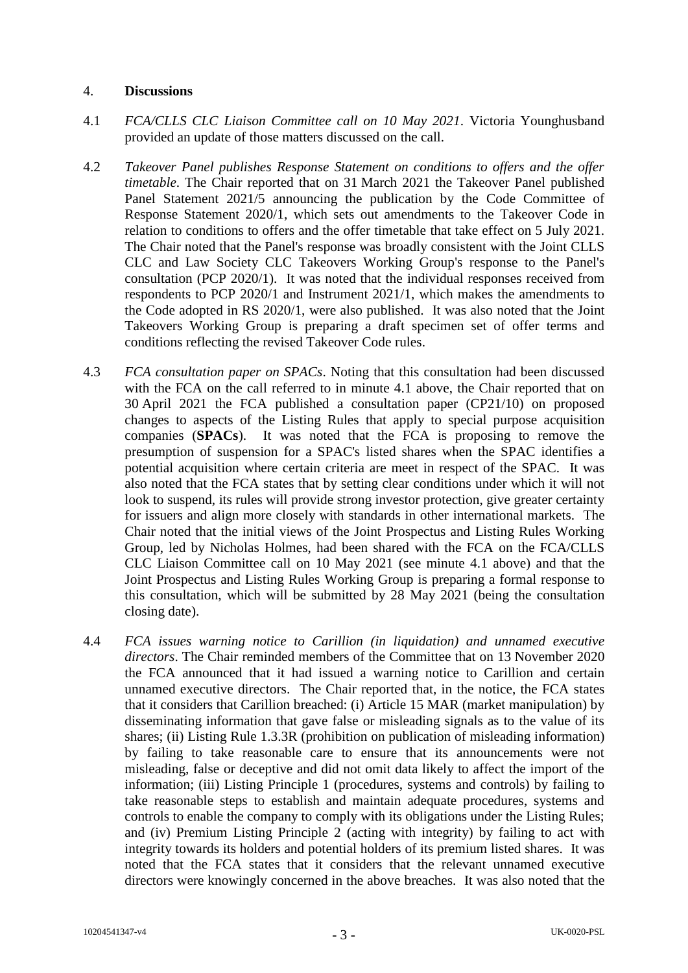#### 4. **Discussions**

- 4.1 *FCA/CLLS CLC Liaison Committee call on 10 May 2021*. Victoria Younghusband provided an update of those matters discussed on the call.
- 4.2 *Takeover Panel publishes Response Statement on conditions to offers and the offer timetable*. The Chair reported that on 31 March 2021 the Takeover Panel published Panel Statement 2021/5 announcing the publication by the Code Committee of Response Statement 2020/1, which sets out amendments to the Takeover Code in relation to conditions to offers and the offer timetable that take effect on 5 July 2021. The Chair noted that the Panel's response was broadly consistent with the Joint CLLS CLC and Law Society CLC Takeovers Working Group's response to the Panel's consultation (PCP 2020/1). It was noted that the individual responses received from respondents to PCP 2020/1 and Instrument 2021/1, which makes the amendments to the Code adopted in RS 2020/1, were also published. It was also noted that the Joint Takeovers Working Group is preparing a draft specimen set of offer terms and conditions reflecting the revised Takeover Code rules.
- 4.3 *FCA consultation paper on SPACs*. Noting that this consultation had been discussed with the FCA on the call referred to in minute 4.1 above, the Chair reported that on 30 April 2021 the FCA published a consultation paper (CP21/10) on proposed changes to aspects of the Listing Rules that apply to special purpose acquisition companies (**SPACs**). It was noted that the FCA is proposing to remove the presumption of suspension for a SPAC's listed shares when the SPAC identifies a potential acquisition where certain criteria are meet in respect of the SPAC. It was also noted that the FCA states that by setting clear conditions under which it will not look to suspend, its rules will provide strong investor protection, give greater certainty for issuers and align more closely with standards in other international markets. The Chair noted that the initial views of the Joint Prospectus and Listing Rules Working Group, led by Nicholas Holmes, had been shared with the FCA on the FCA/CLLS CLC Liaison Committee call on 10 May 2021 (see minute 4.1 above) and that the Joint Prospectus and Listing Rules Working Group is preparing a formal response to this consultation, which will be submitted by 28 May 2021 (being the consultation closing date).
- 4.4 *FCA issues warning notice to Carillion (in liquidation) and unnamed executive directors*. The Chair reminded members of the Committee that on 13 November 2020 the FCA announced that it had issued a warning notice to Carillion and certain unnamed executive directors. The Chair reported that, in the notice, the FCA states that it considers that Carillion breached: (i) Article 15 MAR (market manipulation) by disseminating information that gave false or misleading signals as to the value of its shares; (ii) Listing Rule 1.3.3R (prohibition on publication of misleading information) by failing to take reasonable care to ensure that its announcements were not misleading, false or deceptive and did not omit data likely to affect the import of the information; (iii) Listing Principle 1 (procedures, systems and controls) by failing to take reasonable steps to establish and maintain adequate procedures, systems and controls to enable the company to comply with its obligations under the Listing Rules; and (iv) Premium Listing Principle 2 (acting with integrity) by failing to act with integrity towards its holders and potential holders of its premium listed shares. It was noted that the FCA states that it considers that the relevant unnamed executive directors were knowingly concerned in the above breaches. It was also noted that the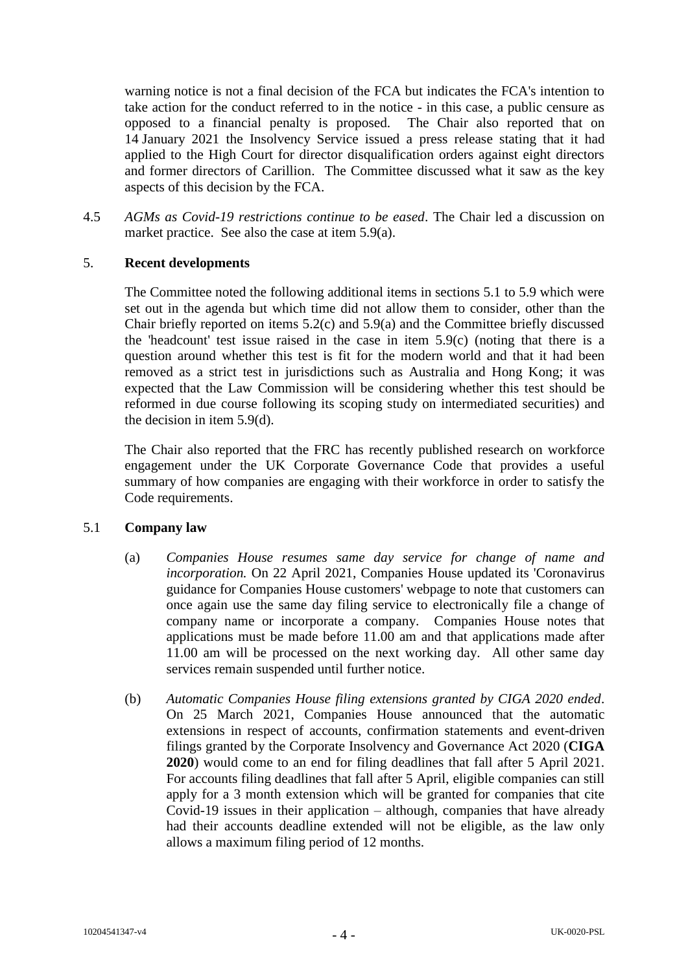warning notice is not a final decision of the FCA but indicates the FCA's intention to take action for the conduct referred to in the notice - in this case, a public censure as opposed to a financial penalty is proposed. The Chair also reported that on 14 January 2021 the Insolvency Service issued a press release stating that it had applied to the High Court for director disqualification orders against eight directors and former directors of Carillion. The Committee discussed what it saw as the key aspects of this decision by the FCA.

4.5 *AGMs as Covid-19 restrictions continue to be eased*. The Chair led a discussion on market practice. See also the case at item 5.9(a).

## 5. **Recent developments**

The Committee noted the following additional items in sections 5.1 to 5.9 which were set out in the agenda but which time did not allow them to consider, other than the Chair briefly reported on items 5.2(c) and 5.9(a) and the Committee briefly discussed the 'headcount' test issue raised in the case in item 5.9(c) (noting that there is a question around whether this test is fit for the modern world and that it had been removed as a strict test in jurisdictions such as Australia and Hong Kong; it was expected that the Law Commission will be considering whether this test should be reformed in due course following its scoping study on intermediated securities) and the decision in item 5.9(d).

The Chair also reported that the FRC has recently published research on workforce engagement under the UK Corporate Governance Code that provides a useful summary of how companies are engaging with their workforce in order to satisfy the Code requirements.

#### 5.1 **Company law**

- (a) *Companies House resumes same day service for change of name and incorporation.* On 22 April 2021, Companies House updated its 'Coronavirus guidance for Companies House customers' webpage to note that customers can once again use the same day filing service to electronically file a change of company name or incorporate a company. Companies House notes that applications must be made before 11.00 am and that applications made after 11.00 am will be processed on the next working day. All other same day services remain suspended until further notice.
- (b) *Automatic Companies House filing extensions granted by CIGA 2020 ended*. On 25 March 2021, Companies House announced that the automatic extensions in respect of accounts, confirmation statements and event-driven filings granted by the Corporate Insolvency and Governance Act 2020 (**CIGA 2020**) would come to an end for filing deadlines that fall after 5 April 2021. For accounts filing deadlines that fall after 5 April, eligible companies can still apply for a 3 month extension which will be granted for companies that cite Covid-19 issues in their application – although, companies that have already had their accounts deadline extended will not be eligible, as the law only allows a maximum filing period of 12 months.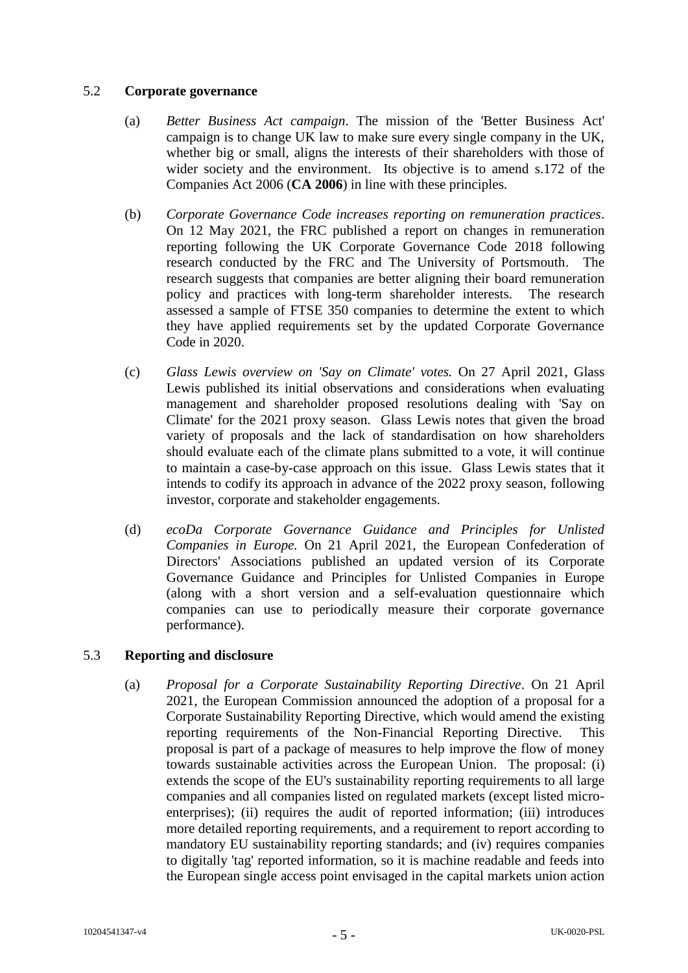## 5.2 **Corporate governance**

- (a) *Better Business Act campaign*. The mission of the 'Better Business Act' campaign is to change UK law to make sure every single company in the UK, whether big or small, aligns the interests of their shareholders with those of wider society and the environment. Its objective is to amend s.172 of the Companies Act 2006 (**CA 2006**) in line with these principles.
- (b) *Corporate Governance Code increases reporting on remuneration practices*. On 12 May 2021, the FRC published a report on changes in remuneration reporting following the UK Corporate Governance Code 2018 following research conducted by the FRC and The University of Portsmouth. The research suggests that companies are better aligning their board remuneration policy and practices with long-term shareholder interests. The research assessed a sample of FTSE 350 companies to determine the extent to which they have applied requirements set by the updated Corporate Governance Code in 2020.
- (c) *Glass Lewis overview on 'Say on Climate' votes.* On 27 April 2021, Glass Lewis published its initial observations and considerations when evaluating management and shareholder proposed resolutions dealing with 'Say on Climate' for the 2021 proxy season. Glass Lewis notes that given the broad variety of proposals and the lack of standardisation on how shareholders should evaluate each of the climate plans submitted to a vote, it will continue to maintain a case-by-case approach on this issue. Glass Lewis states that it intends to codify its approach in advance of the 2022 proxy season, following investor, corporate and stakeholder engagements.
- (d) *ecoDa Corporate Governance Guidance and Principles for Unlisted Companies in Europe.* On 21 April 2021, the European Confederation of Directors' Associations published an updated version of its Corporate Governance Guidance and Principles for Unlisted Companies in Europe (along with a short version and a self-evaluation questionnaire which companies can use to periodically measure their corporate governance performance).

# 5.3 **Reporting and disclosure**

(a) *Proposal for a Corporate Sustainability Reporting Directive*. On 21 April 2021, the European Commission announced the adoption of a proposal for a Corporate Sustainability Reporting Directive, which would amend the existing reporting requirements of the Non-Financial Reporting Directive. This proposal is part of a package of measures to help improve the flow of money towards sustainable activities across the European Union. The proposal: (i) extends the scope of the EU's sustainability reporting requirements to all large companies and all companies listed on regulated markets (except listed microenterprises); (ii) requires the audit of reported information; (iii) introduces more detailed reporting requirements, and a requirement to report according to mandatory EU sustainability reporting standards; and (iv) requires companies to digitally 'tag' reported information, so it is machine readable and feeds into the European single access point envisaged in the capital markets union action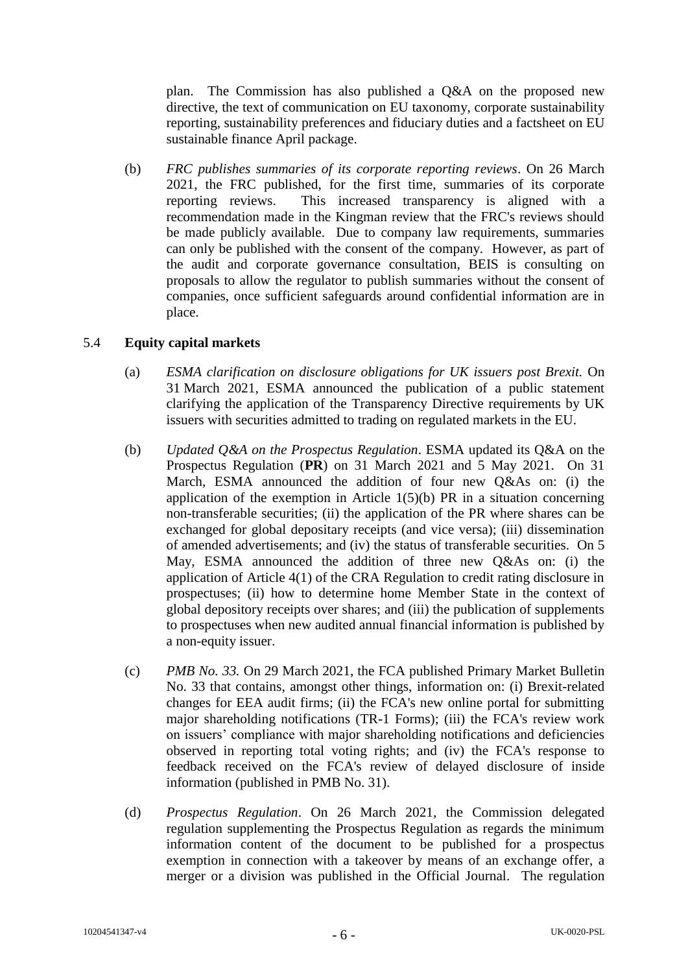plan. The Commission has also published a Q&A on the proposed new directive, the text of communication on EU taxonomy, corporate sustainability reporting, sustainability preferences and fiduciary duties and a factsheet on EU sustainable finance April package.

(b) *FRC publishes summaries of its corporate reporting reviews*. On 26 March 2021, the FRC published, for the first time, summaries of its corporate reporting reviews. This increased transparency is aligned with a recommendation made in the Kingman review that the FRC's reviews should be made publicly available. Due to company law requirements, summaries can only be published with the consent of the company. However, as part of the audit and corporate governance consultation, BEIS is consulting on proposals to allow the regulator to publish summaries without the consent of companies, once sufficient safeguards around confidential information are in place.

## 5.4 **Equity capital markets**

- (a) *ESMA clarification on disclosure obligations for UK issuers post Brexit.* On 31 March 2021, ESMA announced the publication of a public statement clarifying the application of the Transparency Directive requirements by UK issuers with securities admitted to trading on regulated markets in the EU.
- (b) *Updated Q&A on the Prospectus Regulation*. ESMA updated its Q&A on the Prospectus Regulation (**PR**) on 31 March 2021 and 5 May 2021. On 31 March, ESMA announced the addition of four new Q&As on: (i) the application of the exemption in Article  $1(5)(b)$  PR in a situation concerning non-transferable securities; (ii) the application of the PR where shares can be exchanged for global depositary receipts (and vice versa); (iii) dissemination of amended advertisements; and (iv) the status of transferable securities. On 5 May, ESMA announced the addition of three new Q&As on: (i) the application of Article 4(1) of the CRA Regulation to credit rating disclosure in prospectuses; (ii) how to determine home Member State in the context of global depository receipts over shares; and (iii) the publication of supplements to prospectuses when new audited annual financial information is published by a non-equity issuer.
- (c) *PMB No. 33.* On 29 March 2021, the FCA published Primary Market Bulletin No. 33 that contains, amongst other things, information on: (i) Brexit-related changes for EEA audit firms; (ii) the FCA's new online portal for submitting major shareholding notifications (TR-1 Forms); (iii) the FCA's review work on issuers' compliance with major shareholding notifications and deficiencies observed in reporting total voting rights; and (iv) the FCA's response to feedback received on the FCA's review of delayed disclosure of inside information (published in PMB No. 31).
- (d) *Prospectus Regulation*. On 26 March 2021, the Commission delegated regulation supplementing the Prospectus Regulation as regards the minimum information content of the document to be published for a prospectus exemption in connection with a takeover by means of an exchange offer, a merger or a division was published in the Official Journal. The regulation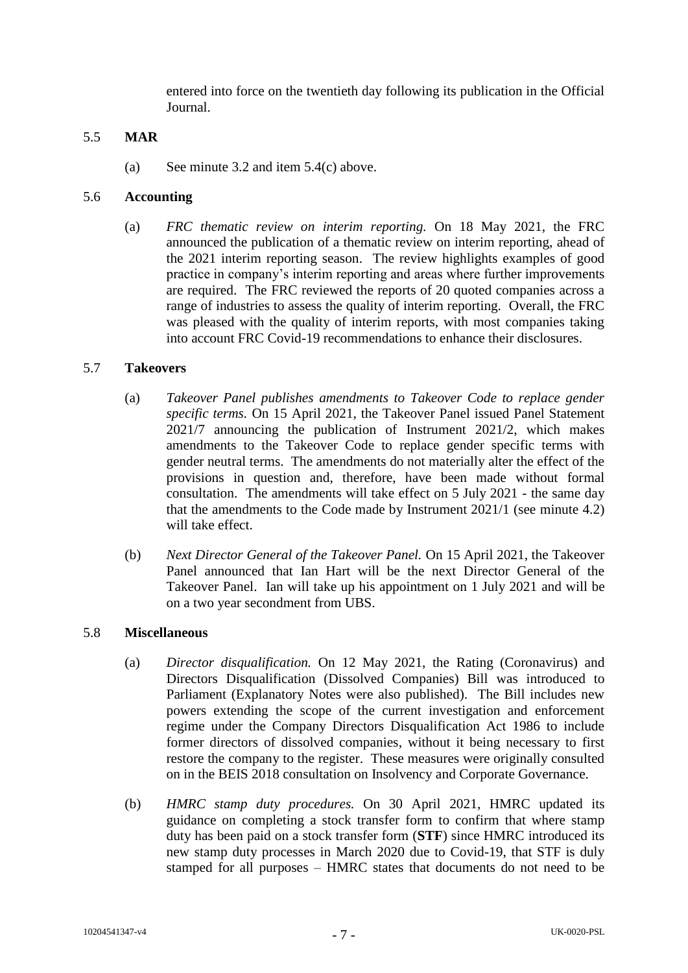entered into force on the twentieth day following its publication in the Official Journal.

### 5.5 **MAR**

(a) See minute 3.2 and item  $5.4(c)$  above.

## 5.6 **Accounting**

(a) *FRC thematic review on interim reporting.* On 18 May 2021, the FRC announced the publication of a thematic review on interim reporting, ahead of the 2021 interim reporting season. The review highlights examples of good practice in company's interim reporting and areas where further improvements are required. The FRC reviewed the reports of 20 quoted companies across a range of industries to assess the quality of interim reporting. Overall, the FRC was pleased with the quality of interim reports, with most companies taking into account FRC Covid-19 recommendations to enhance their disclosures.

## 5.7 **Takeovers**

- (a) *Takeover Panel publishes amendments to Takeover Code to replace gender specific terms.* On 15 April 2021, the Takeover Panel issued Panel Statement 2021/7 announcing the publication of Instrument 2021/2, which makes amendments to the Takeover Code to replace gender specific terms with gender neutral terms. The amendments do not materially alter the effect of the provisions in question and, therefore, have been made without formal consultation. The amendments will take effect on 5 July 2021 - the same day that the amendments to the Code made by Instrument 2021/1 (see minute 4.2) will take effect.
- (b) *Next Director General of the Takeover Panel.* On 15 April 2021, the Takeover Panel announced that Ian Hart will be the next Director General of the Takeover Panel. Ian will take up his appointment on 1 July 2021 and will be on a two year secondment from UBS.

#### 5.8 **Miscellaneous**

- (a) *Director disqualification.* On 12 May 2021, the Rating (Coronavirus) and Directors Disqualification (Dissolved Companies) Bill was introduced to Parliament (Explanatory Notes were also published). The Bill includes new powers extending the scope of the current investigation and enforcement regime under the Company Directors Disqualification Act 1986 to include former directors of dissolved companies, without it being necessary to first restore the company to the register. These measures were originally consulted on in the BEIS 2018 consultation on Insolvency and Corporate Governance.
- (b) *HMRC stamp duty procedures.* On 30 April 2021, HMRC updated its guidance on completing a stock transfer form to confirm that where stamp duty has been paid on a stock transfer form (**STF**) since HMRC introduced its new stamp duty processes in March 2020 due to Covid-19, that STF is duly stamped for all purposes – HMRC states that documents do not need to be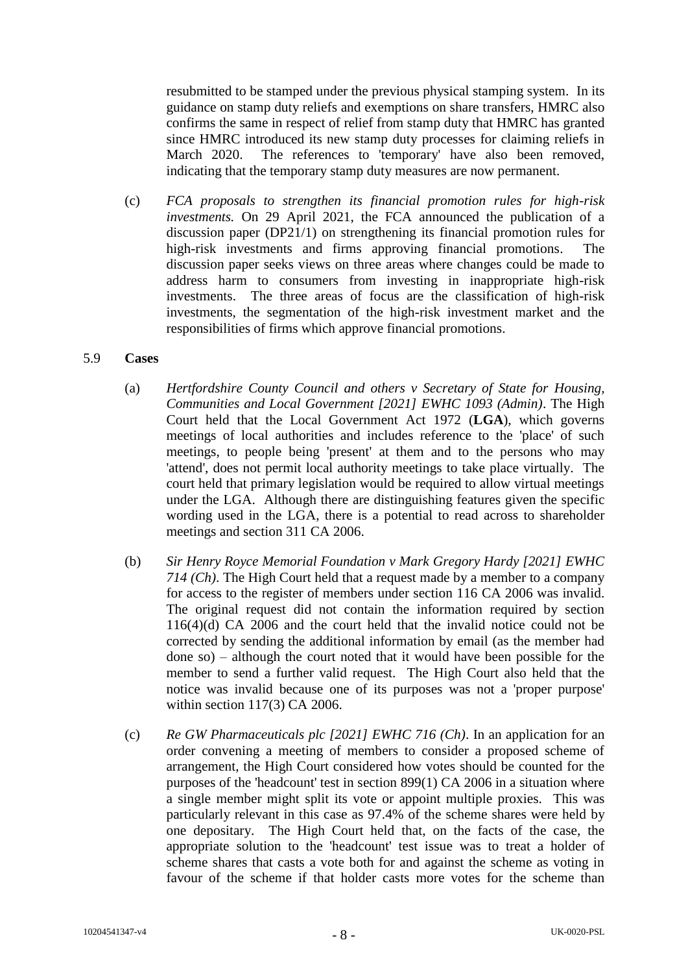resubmitted to be stamped under the previous physical stamping system. In its guidance on stamp duty reliefs and exemptions on share transfers, HMRC also confirms the same in respect of relief from stamp duty that HMRC has granted since HMRC introduced its new stamp duty processes for claiming reliefs in March 2020. The references to 'temporary' have also been removed, indicating that the temporary stamp duty measures are now permanent.

(c) *FCA proposals to strengthen its financial promotion rules for high-risk investments.* On 29 April 2021, the FCA announced the publication of a discussion paper (DP21/1) on strengthening its financial promotion rules for high-risk investments and firms approving financial promotions. The discussion paper seeks views on three areas where changes could be made to address harm to consumers from investing in inappropriate high-risk investments. The three areas of focus are the classification of high-risk investments, the segmentation of the high-risk investment market and the responsibilities of firms which approve financial promotions.

#### 5.9 **Cases**

- (a) *Hertfordshire County Council and others v Secretary of State for Housing, Communities and Local Government [2021] EWHC 1093 (Admin)*. The High Court held that the Local Government Act 1972 (**LGA**), which governs meetings of local authorities and includes reference to the 'place' of such meetings, to people being 'present' at them and to the persons who may 'attend', does not permit local authority meetings to take place virtually. The court held that primary legislation would be required to allow virtual meetings under the LGA. Although there are distinguishing features given the specific wording used in the LGA, there is a potential to read across to shareholder meetings and section 311 CA 2006.
- (b) *Sir Henry Royce Memorial Foundation v Mark Gregory Hardy [2021] EWHC 714 (Ch)*. The High Court held that a request made by a member to a company for access to the register of members under section 116 CA 2006 was invalid. The original request did not contain the information required by section 116(4)(d) CA 2006 and the court held that the invalid notice could not be corrected by sending the additional information by email (as the member had done so) – although the court noted that it would have been possible for the member to send a further valid request. The High Court also held that the notice was invalid because one of its purposes was not a 'proper purpose' within section 117(3) CA 2006.
- (c) *Re GW Pharmaceuticals plc [2021] EWHC 716 (Ch)*. In an application for an order convening a meeting of members to consider a proposed scheme of arrangement, the High Court considered how votes should be counted for the purposes of the 'headcount' test in section 899(1) CA 2006 in a situation where a single member might split its vote or appoint multiple proxies. This was particularly relevant in this case as 97.4% of the scheme shares were held by one depositary. The High Court held that, on the facts of the case, the appropriate solution to the 'headcount' test issue was to treat a holder of scheme shares that casts a vote both for and against the scheme as voting in favour of the scheme if that holder casts more votes for the scheme than